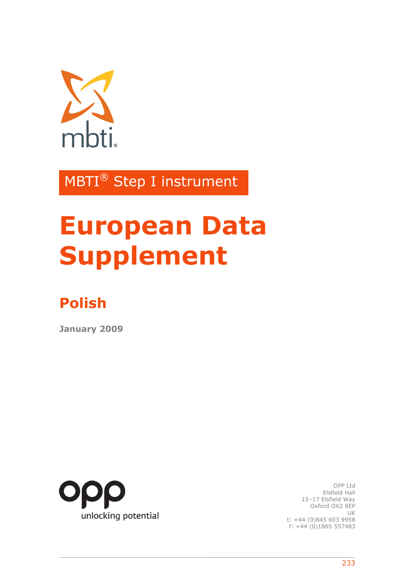

MBTI® Step I instrument

# **European Data Supplement**

## **Polish**

**January 2009** 



OPP Ltd Elsfield Hall 15–17 Elsfield Way Oxford OX2 8EP UK t: +44 (0)845 603 9958 f: +44 (0)1865 557483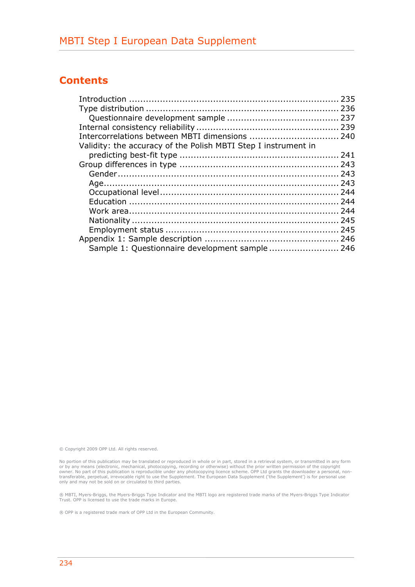## **Contents**

| Intercorrelations between MBTI dimensions  240                 |  |
|----------------------------------------------------------------|--|
| Validity: the accuracy of the Polish MBTI Step I instrument in |  |
|                                                                |  |
|                                                                |  |
|                                                                |  |
|                                                                |  |
|                                                                |  |
|                                                                |  |
|                                                                |  |
|                                                                |  |
|                                                                |  |
|                                                                |  |
| Sample 1: Questionnaire development sample 246                 |  |
|                                                                |  |

© Copyright 2009 OPP Ltd. All rights reserved.

No portion of this publication may be translated or reproduced in whole or in part, stored in a retrieval system, or transmitted in any form or by any means (electronic, mechanical, photocopying, recording or otherwise) without the prior written permission of the copyright<br>towner. No part of this publication is reproducible under any photocopying licence scheme

® MBTI, Myers-Briggs, the Myers-Briggs Type Indicator and the MBTI logo are registered trade marks of the Myers-Briggs Type Indicator Trust. OPP is licensed to use the trade marks in Europe.

® OPP is a registered trade mark of OPP Ltd in the European Community.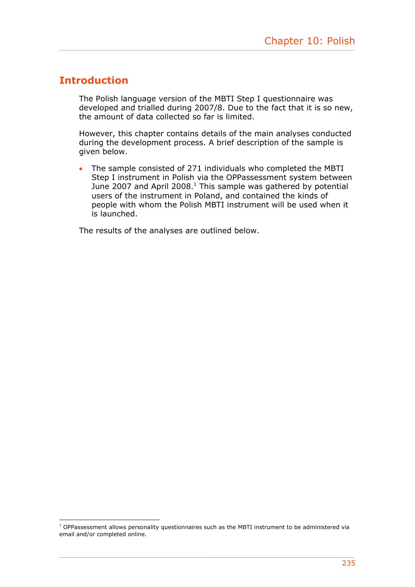## **Introduction**

1

The Polish language version of the MBTI Step I questionnaire was developed and trialled during 2007/8. Due to the fact that it is so new, the amount of data collected so far is limited.

However, this chapter contains details of the main analyses conducted during the development process. A brief description of the sample is given below.

• The sample consisted of 271 individuals who completed the MBTI Step I instrument in Polish via the OPPassessment system between June 2007 and April 2008. $^1$  This sample was gathered by potential users of the instrument in Poland, and contained the kinds of people with whom the Polish MBTI instrument will be used when it is launched.

The results of the analyses are outlined below.

<sup>1</sup> OPPassessment allows personality questionnaires such as the MBTI instrument to be administered via email and/or completed online.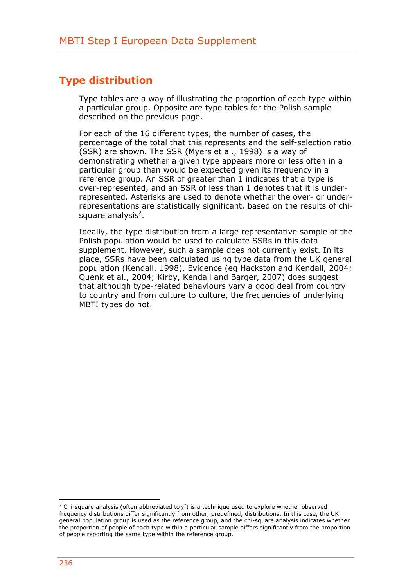## **Type distribution**

Type tables are a way of illustrating the proportion of each type within a particular group. Opposite are type tables for the Polish sample described on the previous page.

For each of the 16 different types, the number of cases, the percentage of the total that this represents and the self-selection ratio (SSR) are shown. The SSR (Myers et al., 1998) is a way of demonstrating whether a given type appears more or less often in a particular group than would be expected given its frequency in a reference group. An SSR of greater than 1 indicates that a type is over-represented, and an SSR of less than 1 denotes that it is underrepresented. Asterisks are used to denote whether the over- or underrepresentations are statistically significant, based on the results of chisquare analysis<sup>2</sup>.

Ideally, the type distribution from a large representative sample of the Polish population would be used to calculate SSRs in this data supplement. However, such a sample does not currently exist. In its place, SSRs have been calculated using type data from the UK general population (Kendall, 1998). Evidence (eg Hackston and Kendall, 2004; Quenk et al., 2004; Kirby, Kendall and Barger, 2007) does suggest that although type-related behaviours vary a good deal from country to country and from culture to culture, the frequencies of underlying MBTI types do not.

 $\frac{1}{2}$  Chi-square analysis (often abbreviated to  $\chi^2$ ) is a technique used to explore whether observed frequency distributions differ significantly from other, predefined, distributions. In this case, the UK general population group is used as the reference group, and the chi-square analysis indicates whether the proportion of people of each type within a particular sample differs significantly from the proportion of people reporting the same type within the reference group.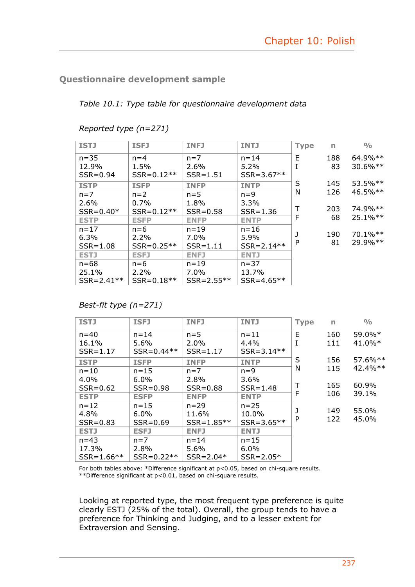### **Questionnaire development sample**

*Table 10.1: Type table for questionnaire development data* 

| <b>ISTJ</b>    | <b>ISFJ</b>    | <b>INFJ</b>    | <b>INTJ</b>    | <b>Type</b> | $\mathsf{r}$ | $\frac{0}{0}$ |
|----------------|----------------|----------------|----------------|-------------|--------------|---------------|
| $n = 35$       | $n = 4$        | $n=7$          | $n = 14$       | E           | 188          | $64.9\%**$    |
| 12.9%          | 1.5%           | 2.6%           | $5.2\%$        | I           | 83           | $30.6\%**$    |
| $SSR = 0.94$   | $SSR = 0.12**$ | $SSR = 1.51$   | $SSR = 3.67**$ |             |              |               |
| <b>ISTP</b>    | <b>ISFP</b>    | <b>INFP</b>    | <b>INTP</b>    | S           | 145          | $53.5\%**$    |
| $n=7$          | $n=2$          | $n=5$          | $n=9$          | N           | 126          | $46.5\%**$    |
| 2.6%           | $0.7\%$        | 1.8%           | 3.3%           |             |              |               |
| $SSR = 0.40*$  | $SSR = 0.12**$ | $SSR = 0.58$   | $SSR = 1.36$   | Τ           | 203          | 74.9%**       |
| <b>ESTP</b>    | <b>ESFP</b>    | <b>ENFP</b>    | <b>ENTP</b>    | F           | 68           | $25.1\%**$    |
| $n = 17$       | $n=6$          | $n = 19$       | $n = 16$       | J           |              | 70.1%**       |
| 6.3%           | $2.2\%$        | 7.0%           | 5.9%           |             | 190          |               |
| $SSR = 1.08$   | $SSR = 0.25**$ | $SSR = 1.11$   | $SSR = 2.14**$ | P           | 81           | 29.9%**       |
| <b>ESTJ</b>    | <b>ESFJ</b>    | <b>ENFJ</b>    | <b>ENTJ</b>    |             |              |               |
| $n = 68$       | $n=6$          | $n = 19$       | $n = 37$       |             |              |               |
| 25.1%          | 2.2%           | 7.0%           | 13.7%          |             |              |               |
| $SSR = 2.41**$ | $SSR = 0.18**$ | $SSR = 2.55**$ | $SSR = 4.65**$ |             |              |               |

*Reported type (n=271)* 

*Best-fit type (n=271)* 

| <b>ISTJ</b>    | <b>ISFJ</b>    | <b>INFJ</b>    | <b>INTJ</b>    | <b>Type</b> | n   | $\frac{0}{0}$ |
|----------------|----------------|----------------|----------------|-------------|-----|---------------|
| $n = 40$       | $n = 14$       | $n=5$          | $n = 11$       | E           | 160 | 59.0%*        |
| 16.1%          | $5.6\%$        | 2.0%           | 4.4%           | I           | 111 | $41.0\%*$     |
| $SSR = 1.17$   | $SSR = 0.44**$ | $SSR = 1.17$   | $SSR = 3.14**$ |             |     |               |
| <b>ISTP</b>    | <b>ISFP</b>    | <b>INFP</b>    | <b>INTP</b>    | S           | 156 | 57.6%**       |
| $n = 10$       | $n = 15$       | $n=7$          | $n=9$          | N           | 115 | 42.4%**       |
| 4.0%           | $6.0\%$        | 2.8%           | $3.6\%$        |             |     |               |
| $SSR = 0.62$   | $SSR = 0.98$   | $SSR = 0.88$   | $SSR = 1.48$   | т           | 165 | 60.9%         |
| <b>ESTP</b>    | <b>ESFP</b>    | <b>ENFP</b>    | <b>ENTP</b>    | F           | 106 | 39.1%         |
| $n = 12$       | $n = 15$       | $n = 29$       | $n = 25$       |             |     |               |
| 4.8%           | $6.0\%$        | 11.6%          | 10.0%          | J           | 149 | 55.0%         |
| $SSR = 0.83$   | $SSR = 0.69$   | $SSR = 1.85**$ | $SSR = 3.65**$ | P           | 122 | 45.0%         |
| <b>ESTJ</b>    | <b>ESFJ</b>    | <b>ENFJ</b>    | <b>ENTJ</b>    |             |     |               |
| $n = 43$       | $n=7$          | $n = 14$       | $n = 15$       |             |     |               |
| 17.3%          | 2.8%           | 5.6%           | 6.0%           |             |     |               |
| $SSR = 1.66**$ | $SSR = 0.22**$ | $SSR = 2.04*$  | $SSR = 2.05*$  |             |     |               |

For both tables above: \*Difference significant at  $p$ <0.05, based on chi-square results. \*\*Difference significant at p<0.01, based on chi-square results.

Looking at reported type, the most frequent type preference is quite clearly ESTJ (25% of the total). Overall, the group tends to have a preference for Thinking and Judging, and to a lesser extent for Extraversion and Sensing.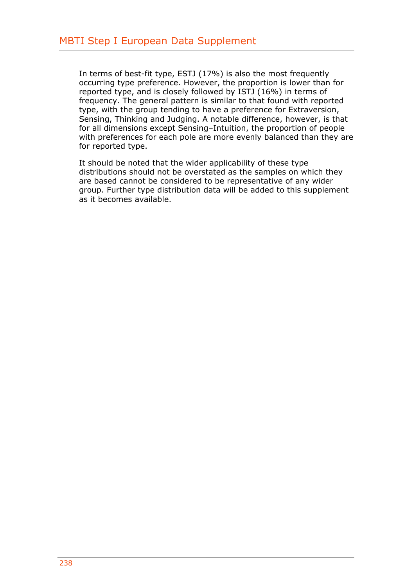In terms of best-fit type, ESTJ (17%) is also the most frequently occurring type preference. However, the proportion is lower than for reported type, and is closely followed by ISTJ (16%) in terms of frequency. The general pattern is similar to that found with reported type, with the group tending to have a preference for Extraversion, Sensing, Thinking and Judging. A notable difference, however, is that for all dimensions except Sensing–Intuition, the proportion of people with preferences for each pole are more evenly balanced than they are for reported type.

It should be noted that the wider applicability of these type distributions should not be overstated as the samples on which they are based cannot be considered to be representative of any wider group. Further type distribution data will be added to this supplement as it becomes available.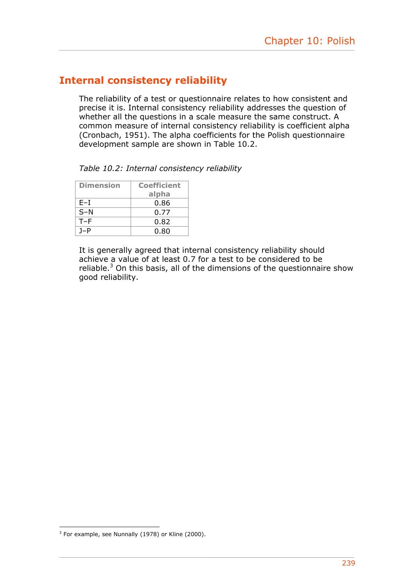## **Internal consistency reliability**

The reliability of a test or questionnaire relates to how consistent and precise it is. Internal consistency reliability addresses the question of whether all the questions in a scale measure the same construct. A common measure of internal consistency reliability is coefficient alpha (Cronbach, 1951). The alpha coefficients for the Polish questionnaire development sample are shown in Table 10.2.

*Table 10.2: Internal consistency reliability* 

| <b>Dimension</b> | <b>Coefficient</b> |  |  |
|------------------|--------------------|--|--|
|                  | alpha              |  |  |
| E-I              | 0.86               |  |  |
| $S-N$            | 0.77               |  |  |
| $T-F$            | 0.82               |  |  |
| $1-P$            | 0.80               |  |  |

It is generally agreed that internal consistency reliability should achieve a value of at least 0.7 for a test to be considered to be reliable. $3$  On this basis, all of the dimensions of the questionnaire show good reliability.

 3 For example, see Nunnally (1978) or Kline (2000).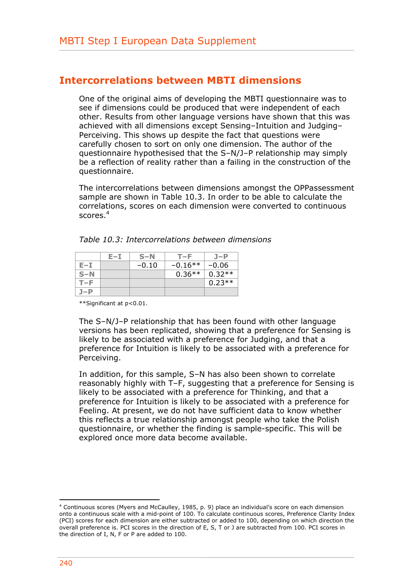## **Intercorrelations between MBTI dimensions**

One of the original aims of developing the MBTI questionnaire was to see if dimensions could be produced that were independent of each other. Results from other language versions have shown that this was achieved with all dimensions except Sensing–Intuition and Judging– Perceiving. This shows up despite the fact that questions were carefully chosen to sort on only one dimension. The author of the questionnaire hypothesised that the S–N/J–P relationship may simply be a reflection of reality rather than a failing in the construction of the questionnaire.

The intercorrelations between dimensions amongst the OPPassessment sample are shown in Table 10.3. In order to be able to calculate the correlations, scores on each dimension were converted to continuous scores.<sup>4</sup>

|       | E-I | $S-N$   | $T - F$   | $J-P$    |
|-------|-----|---------|-----------|----------|
| E-I   |     | $-0.10$ | $-0.16**$ | $-0.06$  |
| $S-N$ |     |         | $0.36**$  | $0.32**$ |
| T-F   |     |         |           | $0.23**$ |
| J-P   |     |         |           |          |

| Table 10.3: Intercorrelations between dimensions |  |
|--------------------------------------------------|--|
|--------------------------------------------------|--|

\*\*Significant at p<0.01.

The S–N/J–P relationship that has been found with other language versions has been replicated, showing that a preference for Sensing is likely to be associated with a preference for Judging, and that a preference for Intuition is likely to be associated with a preference for Perceiving.

In addition, for this sample, S–N has also been shown to correlate reasonably highly with T–F, suggesting that a preference for Sensing is likely to be associated with a preference for Thinking, and that a preference for Intuition is likely to be associated with a preference for Feeling. At present, we do not have sufficient data to know whether this reflects a true relationship amongst people who take the Polish questionnaire, or whether the finding is sample-specific. This will be explored once more data become available.

1

<sup>4</sup> Continuous scores (Myers and McCaulley, 1985, p. 9) place an individual's score on each dimension onto a continuous scale with a mid-point of 100. To calculate continuous scores, Preference Clarity Index (PCI) scores for each dimension are either subtracted or added to 100, depending on which direction the overall preference is. PCI scores in the direction of E, S, T or J are subtracted from 100. PCI scores in the direction of I, N, F or P are added to 100.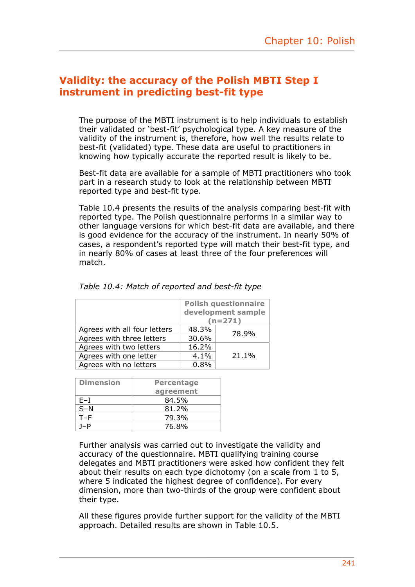## **Validity: the accuracy of the Polish MBTI Step I instrument in predicting best-fit type**

The purpose of the MBTI instrument is to help individuals to establish their validated or 'best-fit' psychological type. A key measure of the validity of the instrument is, therefore, how well the results relate to best-fit (validated) type. These data are useful to practitioners in knowing how typically accurate the reported result is likely to be.

Best-fit data are available for a sample of MBTI practitioners who took part in a research study to look at the relationship between MBTI reported type and best-fit type.

Table 10.4 presents the results of the analysis comparing best-fit with reported type. The Polish questionnaire performs in a similar way to other language versions for which best-fit data are available, and there is good evidence for the accuracy of the instrument. In nearly 50% of cases, a respondent's reported type will match their best-fit type, and in nearly 80% of cases at least three of the four preferences will match.

|                              | <b>Polish questionnaire</b><br>development sample |       |  |
|------------------------------|---------------------------------------------------|-------|--|
|                              | $(n=271)$                                         |       |  |
| Agrees with all four letters | 48.3%                                             | 78.9% |  |
| Agrees with three letters    | 30.6%                                             |       |  |
| Agrees with two letters      | 16.2%                                             |       |  |
| Agrees with one letter       | 4.1%                                              | 21.1% |  |
| Agrees with no letters       | 0.8%                                              |       |  |

|  |  |  |  | Table 10.4: Match of reported and best-fit type |  |  |  |
|--|--|--|--|-------------------------------------------------|--|--|--|
|--|--|--|--|-------------------------------------------------|--|--|--|

| <b>Dimension</b> | <b>Percentage</b> |
|------------------|-------------------|
|                  | agreement         |
| F-I              | 84.5%             |
| $S-N$            | 81.2%             |
| $T-F$            | 79.3%             |
| 1–P              | 76.8%             |

Further analysis was carried out to investigate the validity and accuracy of the questionnaire. MBTI qualifying training course delegates and MBTI practitioners were asked how confident they felt about their results on each type dichotomy (on a scale from 1 to 5, where 5 indicated the highest degree of confidence). For every dimension, more than two-thirds of the group were confident about their type.

All these figures provide further support for the validity of the MBTI approach. Detailed results are shown in Table 10.5.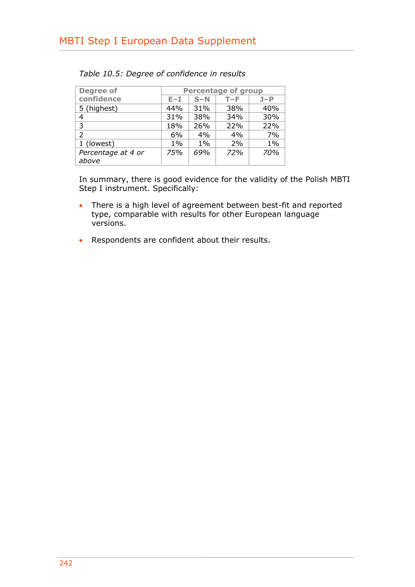| <b>Degree of</b>   | <b>Percentage of group</b> |       |     |       |  |
|--------------------|----------------------------|-------|-----|-------|--|
| confidence         | $E - I$                    | $S-N$ | T-F | $J-P$ |  |
| 5 (highest)        | 44%                        | 31%   | 38% | 40%   |  |
| 4                  | 31%                        | 38%   | 34% | 30%   |  |
| 3                  | 18%                        | 26%   | 22% | 22%   |  |
| $\mathcal{P}$      | 6%                         | 4%    | 4%  | 7%    |  |
| 1 (lowest)         | $1\%$                      | $1\%$ | 2%  | $1\%$ |  |
| Percentage at 4 or | 75%                        | 69%   | 72% | 70%   |  |
| above              |                            |       |     |       |  |

|  |  | Table 10.5: Degree of confidence in results |  |
|--|--|---------------------------------------------|--|
|  |  |                                             |  |

In summary, there is good evidence for the validity of the Polish MBTI Step I instrument. Specifically:

- There is a high level of agreement between best-fit and reported type, comparable with results for other European language versions.
- Respondents are confident about their results.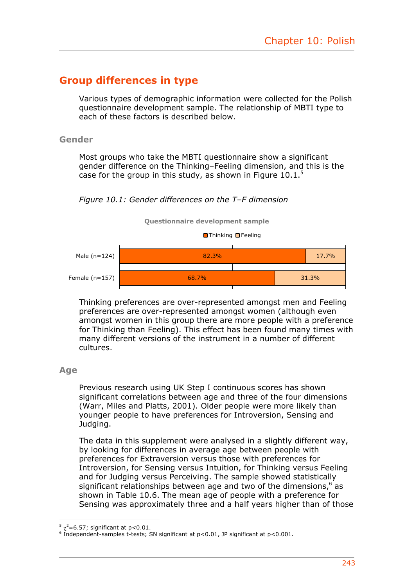## **Group differences in type**

Various types of demographic information were collected for the Polish questionnaire development sample. The relationship of MBTI type to each of these factors is described below.

#### **Gender**

Most groups who take the MBTI questionnaire show a significant gender difference on the Thinking–Feeling dimension, and this is the case for the group in this study, as shown in Figure 10.1.<sup>5</sup>







Thinking preferences are over-represented amongst men and Feeling preferences are over-represented amongst women (although even amongst women in this group there are more people with a preference for Thinking than Feeling). This effect has been found many times with many different versions of the instrument in a number of different cultures.

#### **Age**

Previous research using UK Step I continuous scores has shown significant correlations between age and three of the four dimensions (Warr, Miles and Platts, 2001). Older people were more likely than younger people to have preferences for Introversion, Sensing and Judaina.

The data in this supplement were analysed in a slightly different way, by looking for differences in average age between people with preferences for Extraversion versus those with preferences for Introversion, for Sensing versus Intuition, for Thinking versus Feeling and for Judging versus Perceiving. The sample showed statistically significant relationships between age and two of the dimensions, $6 \text{ as } 6$ shown in Table 10.6. The mean age of people with a preference for Sensing was approximately three and a half years higher than of those

<sup>1</sup>  $5 \chi^2$ =6.57; significant at p<0.01.<br> $6 \text{ Independent example}$  t-tests: S

 $\frac{1}{6}$  Independent-samples t-tests; SN significant at p<0.01, JP significant at p<0.001.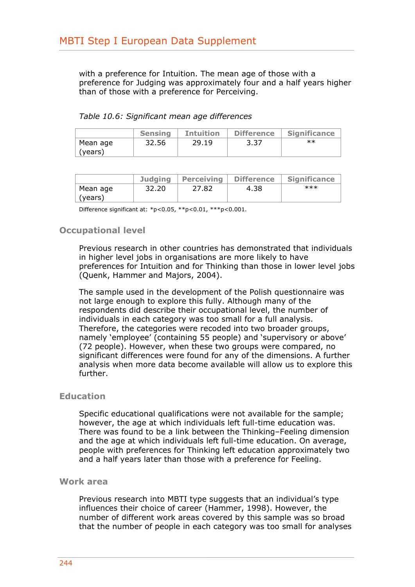with a preference for Intuition. The mean age of those with a preference for Judging was approximately four and a half years higher than of those with a preference for Perceiving.

|  | Table 10.6: Significant mean age differences |  |  |
|--|----------------------------------------------|--|--|
|--|----------------------------------------------|--|--|

|          | <b>Sensing</b> | <b>Intuition</b> | <b>Difference</b> | <b>Significance</b> |
|----------|----------------|------------------|-------------------|---------------------|
| Mean age | 32.56          | 29.19            | 3.37              | $**$                |
| (years)  |                |                  |                   |                     |

|          | <b>Judging</b> | Perceiving | <b>Difference</b> | <b>Significance</b> |
|----------|----------------|------------|-------------------|---------------------|
| Mean age | 32.20          | 27.82      | 4.38              | $***$               |
| (years)  |                |            |                   |                     |

Difference significant at: \*p<0.05, \*\*p<0.01, \*\*\*p<0.001.

#### **Occupational level**

Previous research in other countries has demonstrated that individuals in higher level jobs in organisations are more likely to have preferences for Intuition and for Thinking than those in lower level jobs (Quenk, Hammer and Majors, 2004).

The sample used in the development of the Polish questionnaire was not large enough to explore this fully. Although many of the respondents did describe their occupational level, the number of individuals in each category was too small for a full analysis. Therefore, the categories were recoded into two broader groups, namely 'employee' (containing 55 people) and 'supervisory or above' (72 people). However, when these two groups were compared, no significant differences were found for any of the dimensions. A further analysis when more data become available will allow us to explore this further.

#### **Education**

Specific educational qualifications were not available for the sample; however, the age at which individuals left full-time education was. There was found to be a link between the Thinking–Feeling dimension and the age at which individuals left full-time education. On average, people with preferences for Thinking left education approximately two and a half years later than those with a preference for Feeling.

#### **Work area**

Previous research into MBTI type suggests that an individual's type influences their choice of career (Hammer, 1998). However, the number of different work areas covered by this sample was so broad that the number of people in each category was too small for analyses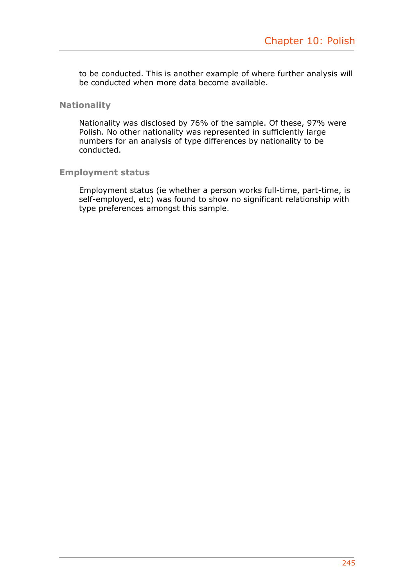to be conducted. This is another example of where further analysis will be conducted when more data become available.

#### **Nationality**

Nationality was disclosed by 76% of the sample. Of these, 97% were Polish. No other nationality was represented in sufficiently large numbers for an analysis of type differences by nationality to be conducted.

#### **Employment status**

Employment status (ie whether a person works full-time, part-time, is self-employed, etc) was found to show no significant relationship with type preferences amongst this sample.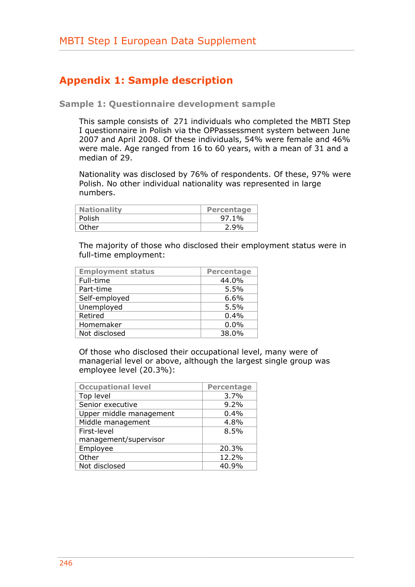## **Appendix 1: Sample description**

**Sample 1: Questionnaire development sample** 

This sample consists of 271 individuals who completed the MBTI Step I questionnaire in Polish via the OPPassessment system between June 2007 and April 2008. Of these individuals, 54% were female and 46% were male. Age ranged from 16 to 60 years, with a mean of 31 and a median of 29.

Nationality was disclosed by 76% of respondents. Of these, 97% were Polish. No other individual nationality was represented in large numbers.

| <b>Nationality</b> | <b>Percentage</b> |
|--------------------|-------------------|
| Polish             | 97.1%             |
| Other              | 2.9%              |

The majority of those who disclosed their employment status were in full-time employment:

| <b>Employment status</b> | <b>Percentage</b> |
|--------------------------|-------------------|
| Full-time                | 44.0%             |
| Part-time                | 5.5%              |
| Self-employed            | 6.6%              |
| Unemployed               | 5.5%              |
| Retired                  | 0.4%              |
| Homemaker                | 0.0%              |
| Not disclosed            | 38.0%             |

Of those who disclosed their occupational level, many were of managerial level or above, although the largest single group was employee level (20.3%):

| <b>Occupational level</b> | <b>Percentage</b> |
|---------------------------|-------------------|
| Top level                 | 3.7%              |
| Senior executive          | 9.2%              |
| Upper middle management   | 0.4%              |
| Middle management         | 4.8%              |
| First-level               | 8.5%              |
| management/supervisor     |                   |
| Employee                  | 20.3%             |
| Other                     | 12.2%             |
| Not disclosed             | 40.9%             |